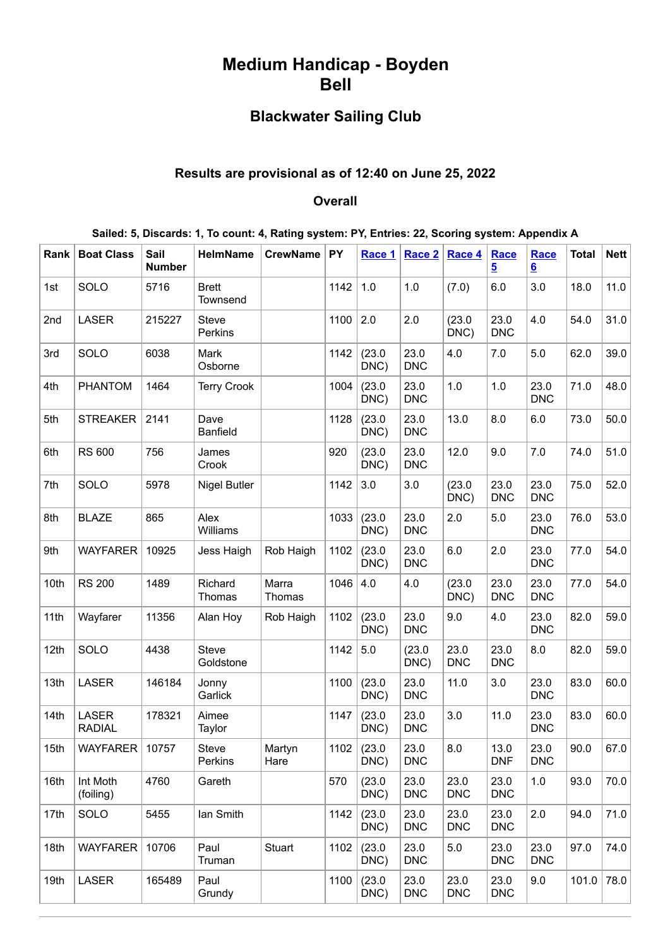# **Medium Handicap - Boyden Bell**

# **Blackwater Sailing Club**

## **Results are provisional as of 12:40 on June 25, 2022**

#### **Overall**

| Sailed: 5, Discards: 1, To count: 4, Rating system: PY, Entries: 22, Scoring system: Appendix A |  |  |  |  |  |
|-------------------------------------------------------------------------------------------------|--|--|--|--|--|
|-------------------------------------------------------------------------------------------------|--|--|--|--|--|

| Rank | <b>Boat Class</b>             | Sail<br><b>Number</b> | <b>HelmName</b>           | <b>CrewName</b> | <b>PY</b> | Race 1              | Race 2             | Race 4             | Race<br><u>5</u>   | <b>Race</b><br>6   | <b>Total</b> | Nett |
|------|-------------------------------|-----------------------|---------------------------|-----------------|-----------|---------------------|--------------------|--------------------|--------------------|--------------------|--------------|------|
| 1st  | SOLO                          | 5716                  | <b>Brett</b><br>Townsend  |                 | 1142      | 1.0                 | 1.0                | (7.0)              | 6.0                | 3.0                | 18.0         | 11.0 |
| 2nd  | <b>LASER</b>                  | 215227                | <b>Steve</b><br>Perkins   |                 | 1100      | 2.0                 | 2.0                | (23.0)<br>DNC)     | 23.0<br><b>DNC</b> | 4.0                | 54.0         | 31.0 |
| 3rd  | SOLO                          | 6038                  | Mark<br>Osborne           |                 | 1142      | (23.0)<br>DNC)      | 23.0<br><b>DNC</b> | 4.0                | 7.0                | 5.0                | 62.0         | 39.0 |
| 4th  | <b>PHANTOM</b>                | 1464                  | <b>Terry Crook</b>        |                 | 1004      | (23.0)<br>DNC)      | 23.0<br><b>DNC</b> | 1.0                | 1.0                | 23.0<br><b>DNC</b> | 71.0         | 48.0 |
| 5th  | <b>STREAKER</b>               | 2141                  | Dave<br><b>Banfield</b>   |                 | 1128      | (23.0)<br>DNC)      | 23.0<br><b>DNC</b> | 13.0               | 8.0                | 6.0                | 73.0         | 50.0 |
| 6th  | <b>RS 600</b>                 | 756                   | James<br>Crook            |                 | 920       | (23.0)<br>DNC)      | 23.0<br><b>DNC</b> | 12.0               | 9.0                | 7.0                | 74.0         | 51.0 |
| 7th  | SOLO                          | 5978                  | <b>Nigel Butler</b>       |                 | 1142      | 3.0                 | 3.0                | (23.0)<br>DNC)     | 23.0<br><b>DNC</b> | 23.0<br><b>DNC</b> | 75.0         | 52.0 |
| 8th  | <b>BLAZE</b>                  | 865                   | Alex<br>Williams          |                 | 1033      | (23.0)<br>DNC)      | 23.0<br><b>DNC</b> | 2.0                | 5.0                | 23.0<br><b>DNC</b> | 76.0         | 53.0 |
| 9th  | <b>WAYFARER</b>               | 10925                 | Jess Haigh                | Rob Haigh       | 1102      | (23.0)<br>DNC)      | 23.0<br><b>DNC</b> | 6.0                | 2.0                | 23.0<br><b>DNC</b> | 77.0         | 54.0 |
| 10th | <b>RS 200</b>                 | 1489                  | Richard<br>Thomas         | Marra<br>Thomas | 1046      | 4.0                 | 4.0                | (23.0)<br>DNC)     | 23.0<br><b>DNC</b> | 23.0<br><b>DNC</b> | 77.0         | 54.0 |
| 11th | Wayfarer                      | 11356                 | Alan Hoy                  | Rob Haigh       | 1102      | (23.0)<br>DNC)      | 23.0<br><b>DNC</b> | 9.0                | 4.0                | 23.0<br><b>DNC</b> | 82.0         | 59.0 |
| 12th | SOLO                          | 4438                  | <b>Steve</b><br>Goldstone |                 | 1142      | 5.0                 | (23.0)<br>DNC)     | 23.0<br><b>DNC</b> | 23.0<br><b>DNC</b> | 8.0                | 82.0         | 59.0 |
| 13th | LASER                         | 146184                | Jonny<br>Garlick          |                 | 1100      | (23.0)<br>DNC)      | 23.0<br><b>DNC</b> | 11.0               | 3.0                | 23.0<br><b>DNC</b> | 83.0         | 60.0 |
| 14th | <b>LASER</b><br><b>RADIAL</b> | 178321                | Aimee<br>Taylor           |                 | 1147      | (23.0)<br>DNC)      | 23.0<br><b>DNC</b> | 3.0                | 11.0               | 23.0<br><b>DNC</b> | 83.0         | 60.0 |
| 15th | WAYFARER 10757                |                       | Steve<br>Perkins          | Martyn<br>Hare  |           | 1102 (23.0)<br>DNC) | 23.0<br><b>DNC</b> | 8.0                | 13.0<br><b>DNF</b> | 23.0<br><b>DNC</b> | 90.0         | 67.0 |
| 16th | Int Moth<br>(foiling)         | 4760                  | Gareth                    |                 | 570       | (23.0)<br>DNC)      | 23.0<br><b>DNC</b> | 23.0<br><b>DNC</b> | 23.0<br><b>DNC</b> | 1.0                | 93.0         | 70.0 |
| 17th | SOLO                          | 5455                  | Ian Smith                 |                 | 1142      | (23.0)<br>DNC)      | 23.0<br><b>DNC</b> | 23.0<br><b>DNC</b> | 23.0<br><b>DNC</b> | 2.0                | 94.0         | 71.0 |
| 18th | <b>WAYFARER</b>               | 10706                 | Paul<br>Truman            | Stuart          | 1102      | (23.0)<br>DNC)      | 23.0<br><b>DNC</b> | 5.0                | 23.0<br><b>DNC</b> | 23.0<br><b>DNC</b> | 97.0         | 74.0 |
| 19th | <b>LASER</b>                  | 165489                | Paul<br>Grundy            |                 | 1100      | (23.0)<br>DNC)      | 23.0<br><b>DNC</b> | 23.0<br><b>DNC</b> | 23.0<br><b>DNC</b> | 9.0                | 101.0        | 78.0 |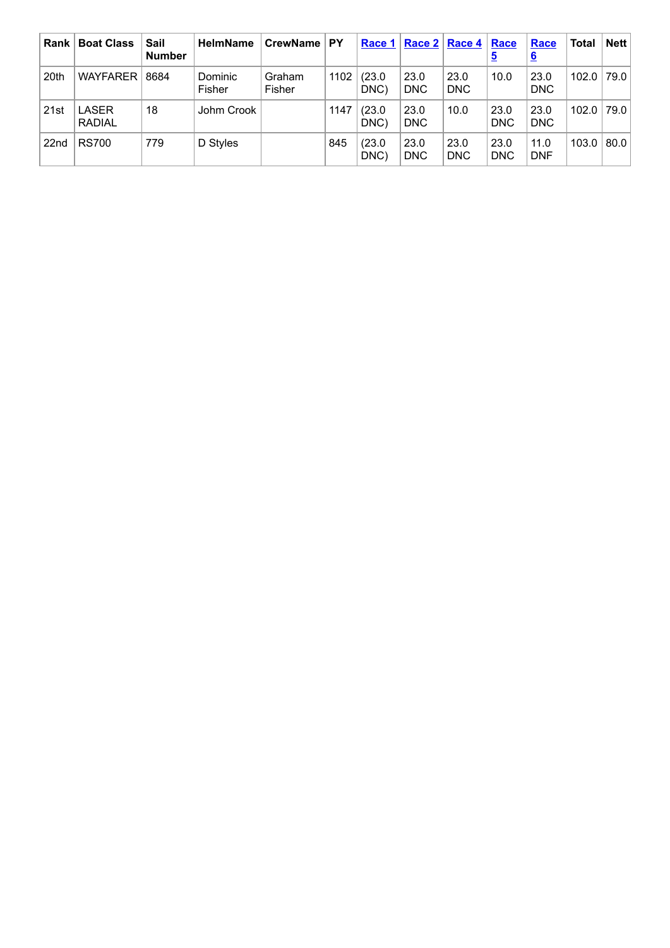| <b>Rank</b>      | <b>Boat Class</b>      | Sail<br><b>Number</b> | <b>HelmName</b>   | CrewName         | <b>PY</b> | Race 1         |                    | Race $2 \mid$ Race 4 | Race<br><u>5</u>   | Race<br><u>6</u>   | Total | <b>Nett</b> |
|------------------|------------------------|-----------------------|-------------------|------------------|-----------|----------------|--------------------|----------------------|--------------------|--------------------|-------|-------------|
| 20th             | <b>WAYFARER</b>        | 8684                  | Dominic<br>Fisher | Graham<br>Fisher | 1102      | (23.0)<br>DNC) | 23.0<br>DNC        | 23.0<br><b>DNC</b>   | 10.0               | 23.0<br>DNC        | 102.0 | 79.0        |
| 21st             | LASER<br><b>RADIAL</b> | 18                    | Johm Crook        |                  | 1147      | (23.0)<br>DNC) | 23.0<br><b>DNC</b> | 10.0                 | 23.0<br><b>DNC</b> | 23.0<br><b>DNC</b> | 102.0 | 79.0        |
| 22 <sub>nd</sub> | <b>RS700</b>           | 779                   | D Styles          |                  | 845       | (23.0)<br>DNC) | 23.0<br><b>DNC</b> | 23.0<br><b>DNC</b>   | 23.0<br><b>DNC</b> | 11.0<br><b>DNF</b> | 103.0 | 80.0        |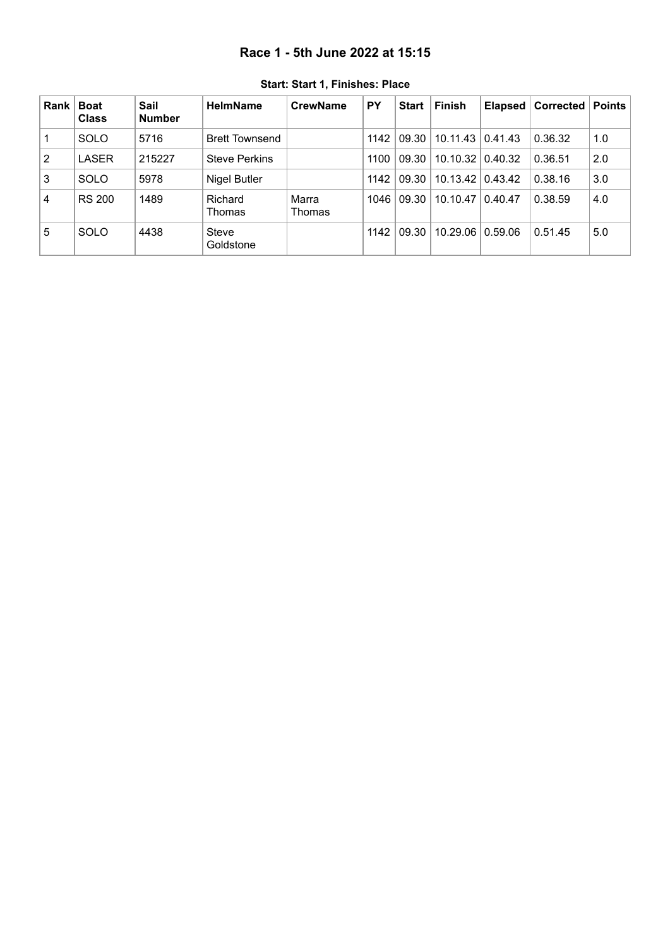### **Race 1 - 5th June 2022 at 15:15**

<span id="page-2-0"></span>

| <b>Rank</b> | <b>Boat</b><br><b>Class</b> | Sail<br><b>Number</b> | <b>HelmName</b>       | <b>CrewName</b> | <b>PY</b> | <b>Start</b> | Finish   | Elapsed | Corrected | Points |
|-------------|-----------------------------|-----------------------|-----------------------|-----------------|-----------|--------------|----------|---------|-----------|--------|
|             | <b>SOLO</b>                 | 5716                  | <b>Brett Townsend</b> |                 | 1142      | 09.30        | 10.11.43 | 0.41.43 | 0.36.32   | 1.0    |
| 2           | <b>LASER</b>                | 215227                | <b>Steve Perkins</b>  |                 | 1100      | 09.30        | 10.10.32 | 0.40.32 | 0.36.51   | 2.0    |
| 3           | <b>SOLO</b>                 | 5978                  | Nigel Butler          |                 | 1142      | 09.30        | 10.13.42 | 0.43.42 | 0.38.16   | 3.0    |
| 4           | <b>RS 200</b>               | 1489                  | Richard<br>Thomas     | Marra<br>Thomas | 1046      | 09.30        | 10.10.47 | 0.40.47 | 0.38.59   | 4.0    |
| 5           | <b>SOLO</b>                 | 4438                  | Steve<br>Goldstone    |                 | 1142      | 09.30        | 10.29.06 | 0.59.06 | 0.51.45   | 5.0    |

**Start: Start 1, Finishes: Place**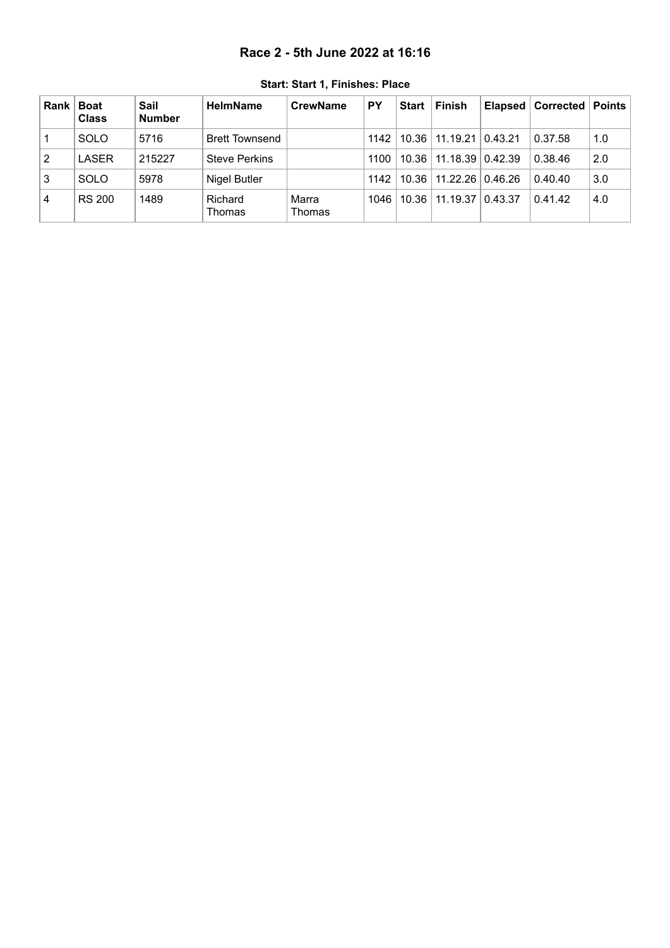### **Race 2 - 5th June 2022 at 16:16**

<span id="page-3-0"></span>

| <b>Rank</b> | <b>Boat</b><br><b>Class</b> | Sail<br><b>Number</b> | <b>HelmName</b>       | <b>CrewName</b> | PΥ   | <b>Start</b> | Finish                     |         | Elapsed   Corrected | Points |
|-------------|-----------------------------|-----------------------|-----------------------|-----------------|------|--------------|----------------------------|---------|---------------------|--------|
|             | <b>SOLO</b>                 | 5716                  | <b>Brett Townsend</b> |                 | 1142 |              | 10.36   11.19.21   0.43.21 |         | 0.37.58             | 1.0    |
| 2           | LASER                       | 215227                | <b>Steve Perkins</b>  |                 | 1100 |              | 10.36   11.18.39   0.42.39 |         | 0.38.46             | 2.0    |
| 3           | <b>SOLO</b>                 | 5978                  | Nigel Butler          |                 | 1142 |              | 10.36   11.22.26           | 0.46.26 | 0.40.40             | 3.0    |
| 4           | <b>RS 200</b>               | 1489                  | Richard<br>Thomas     | Marra<br>Thomas | 1046 |              | 10.36 11.19.37             | 0.43.37 | 0.41.42             | 4.0    |

**Start: Start 1, Finishes: Place**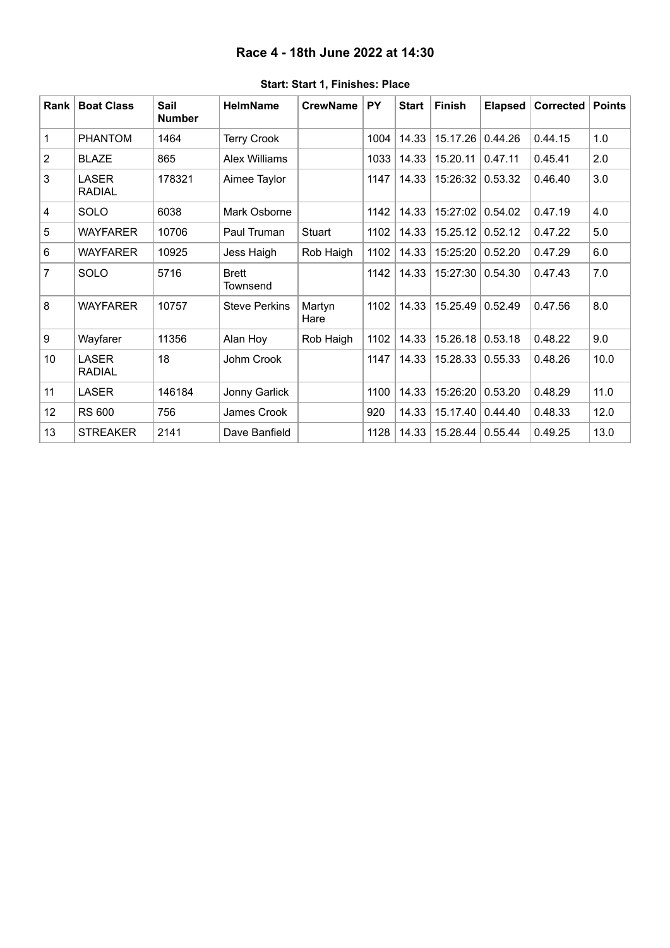### **Race 4 - 18th June 2022 at 14:30**

<span id="page-4-0"></span>

| Rank           | <b>Boat Class</b>             | Sail<br><b>Number</b> | <b>HelmName</b>          | <b>CrewName</b> | <b>PY</b> | <b>Start</b> | <b>Finish</b> | <b>Elapsed</b> | Corrected | <b>Points</b> |
|----------------|-------------------------------|-----------------------|--------------------------|-----------------|-----------|--------------|---------------|----------------|-----------|---------------|
| 1              | <b>PHANTOM</b>                | 1464                  | <b>Terry Crook</b>       |                 | 1004      | 14.33        | 15.17.26      | 0.44.26        | 0.44.15   | 1.0           |
| $\overline{2}$ | <b>BLAZE</b>                  | 865                   | <b>Alex Williams</b>     |                 | 1033      | 14.33        | 15.20.11      | 0.47.11        | 0.45.41   | 2.0           |
| 3              | <b>LASER</b><br><b>RADIAL</b> | 178321                | Aimee Taylor             |                 | 1147      | 14.33        | 15:26:32      | 0.53.32        | 0.46.40   | 3.0           |
| 4              | SOLO                          | 6038                  | Mark Osborne             |                 | 1142      | 14.33        | 15:27:02      | 0.54.02        | 0.47.19   | 4.0           |
| 5              | <b>WAYFARER</b>               | 10706                 | Paul Truman              | Stuart          | 1102      | 14.33        | 15.25.12      | 0.52.12        | 0.47.22   | 5.0           |
| 6              | <b>WAYFARER</b>               | 10925                 | Jess Haigh               | Rob Haigh       | 1102      | 14.33        | 15:25:20      | 0.52.20        | 0.47.29   | 6.0           |
| $\overline{7}$ | SOLO                          | 5716                  | <b>Brett</b><br>Townsend |                 | 1142      | 14.33        | 15:27:30      | 0.54.30        | 0.47.43   | 7.0           |
| 8              | <b>WAYFARER</b>               | 10757                 | <b>Steve Perkins</b>     | Martyn<br>Hare  | 1102      | 14.33        | 15.25.49      | 0.52.49        | 0.47.56   | 8.0           |
| 9              | Wayfarer                      | 11356                 | Alan Hoy                 | Rob Haigh       | 1102      | 14.33        | 15.26.18      | 0.53.18        | 0.48.22   | 9.0           |
| 10             | <b>LASER</b><br><b>RADIAL</b> | 18                    | Johm Crook               |                 | 1147      | 14.33        | 15.28.33      | 0.55.33        | 0.48.26   | 10.0          |
| 11             | <b>LASER</b>                  | 146184                | Jonny Garlick            |                 | 1100      | 14.33        | 15:26:20      | 0.53.20        | 0.48.29   | 11.0          |
| 12             | <b>RS 600</b>                 | 756                   | James Crook              |                 | 920       | 14.33        | 15.17.40      | 0.44.40        | 0.48.33   | 12.0          |
| 13             | <b>STREAKER</b>               | 2141                  | Dave Banfield            |                 | 1128      | 14.33        | 15.28.44      | 0.55.44        | 0.49.25   | 13.0          |

#### **Start: Start 1, Finishes: Place**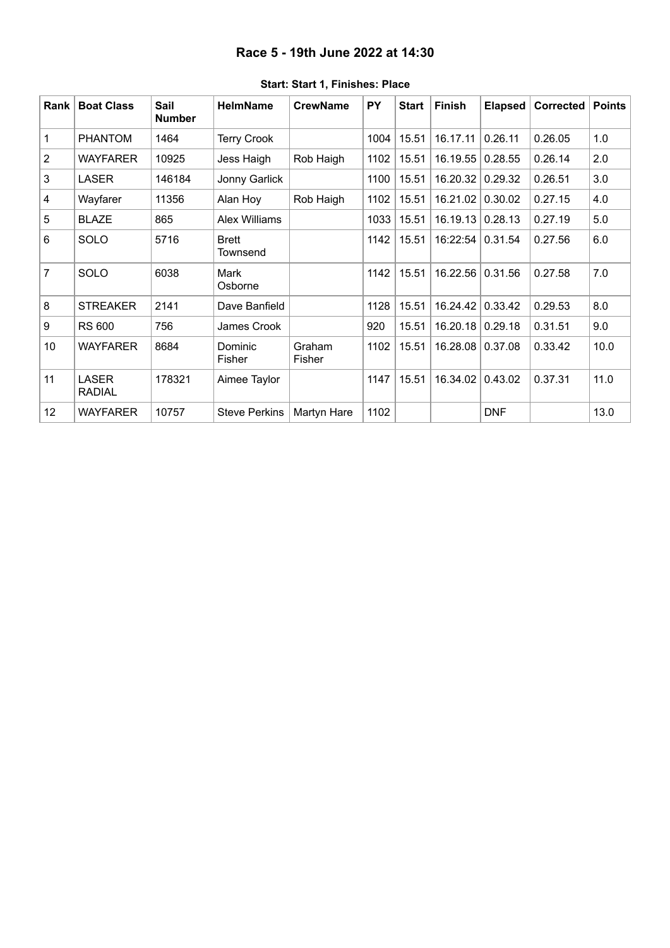### **Race 5 - 19th June 2022 at 14:30**

<span id="page-5-0"></span>

| Rank           | <b>Boat Class</b>             | Sail<br><b>Number</b> | <b>HelmName</b>          | <b>CrewName</b>  | PY   | <b>Start</b> | <b>Finish</b>    | <b>Elapsed</b> | Corrected | <b>Points</b> |
|----------------|-------------------------------|-----------------------|--------------------------|------------------|------|--------------|------------------|----------------|-----------|---------------|
| 1              | <b>PHANTOM</b>                | 1464                  | <b>Terry Crook</b>       |                  | 1004 | 15.51        | 16.17.11         | 0.26.11        | 0.26.05   | 1.0           |
| $\overline{2}$ | <b>WAYFARER</b>               | 10925                 | Jess Haigh               | Rob Haigh        | 1102 | 15.51        | 16.19.55         | 0.28.55        | 0.26.14   | 2.0           |
| $\mathbf{3}$   | <b>LASER</b>                  | 146184                | Jonny Garlick            |                  | 1100 | 15.51        | 16.20.32         | 0.29.32        | 0.26.51   | 3.0           |
| 4              | Wayfarer                      | 11356                 | Alan Hoy                 | Rob Haigh        | 1102 | 15.51        | 16.21.02         | 0.30.02        | 0.27.15   | 4.0           |
| $\overline{5}$ | <b>BLAZE</b>                  | 865                   | <b>Alex Williams</b>     |                  | 1033 | 15.51        | 16.19.13         | 0.28.13        | 0.27.19   | 5.0           |
| 6              | <b>SOLO</b>                   | 5716                  | <b>Brett</b><br>Townsend |                  | 1142 | 15.51        | 16:22:54         | 0.31.54        | 0.27.56   | 6.0           |
| $\overline{7}$ | SOLO                          | 6038                  | Mark<br>Osborne          |                  | 1142 | 15.51        | 16.22.56         | 0.31.56        | 0.27.58   | 7.0           |
| 8              | <b>STREAKER</b>               | 2141                  | Dave Banfield            |                  | 1128 | 15.51        | 16.24.42         | 0.33.42        | 0.29.53   | 8.0           |
| 9              | <b>RS 600</b>                 | 756                   | James Crook              |                  | 920  | 15.51        | 16.20.18         | 0.29.18        | 0.31.51   | 9.0           |
| 10             | WAYFARER                      | 8684                  | Dominic<br>Fisher        | Graham<br>Fisher | 1102 | 15.51        | 16.28.08 0.37.08 |                | 0.33.42   | 10.0          |
| 11             | <b>LASER</b><br><b>RADIAL</b> | 178321                | Aimee Taylor             |                  | 1147 | 15.51        | 16.34.02         | 0.43.02        | 0.37.31   | 11.0          |
| 12             | <b>WAYFARER</b>               | 10757                 | <b>Steve Perkins</b>     | Martyn Hare      | 1102 |              |                  | <b>DNF</b>     |           | 13.0          |

### **Start: Start 1, Finishes: Place**